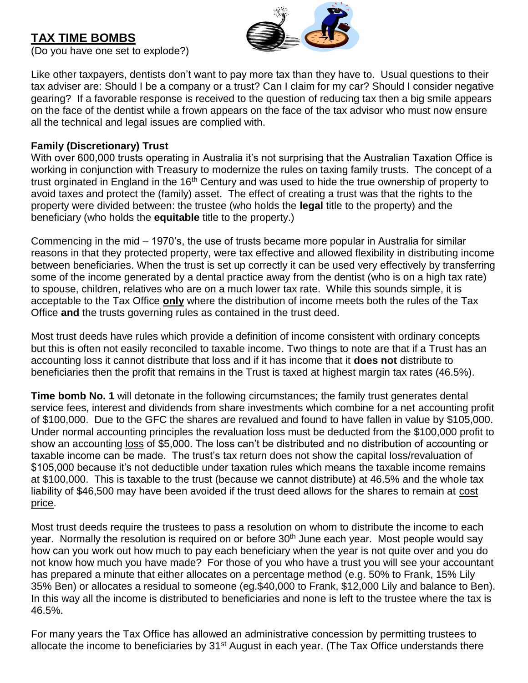# **TAX TIME BOMBS**



(Do you have one set to explode?)

Like other taxpayers, dentists don't want to pay more tax than they have to. Usual questions to their tax adviser are: Should I be a company or a trust? Can I claim for my car? Should I consider negative gearing? If a favorable response is received to the question of reducing tax then a big smile appears on the face of the dentist while a frown appears on the face of the tax advisor who must now ensure all the technical and legal issues are complied with.

# **Family (Discretionary) Trust**

With over 600,000 trusts operating in Australia it's not surprising that the Australian Taxation Office is working in conjunction with Treasury to modernize the rules on taxing family trusts. The concept of a trust orginated in England in the 16<sup>th</sup> Century and was used to hide the true ownership of property to avoid taxes and protect the (family) asset. The effect of creating a trust was that the rights to the property were divided between: the trustee (who holds the **legal** title to the property) and the beneficiary (who holds the **equitable** title to the property.)

Commencing in the mid – 1970's, the use of trusts became more popular in Australia for similar reasons in that they protected property, were tax effective and allowed flexibility in distributing income between beneficiaries. When the trust is set up correctly it can be used very effectively by transferring some of the income generated by a dental practice away from the dentist (who is on a high tax rate) to spouse, children, relatives who are on a much lower tax rate. While this sounds simple, it is acceptable to the Tax Office **only** where the distribution of income meets both the rules of the Tax Office **and** the trusts governing rules as contained in the trust deed.

Most trust deeds have rules which provide a definition of income consistent with ordinary concepts but this is often not easily reconciled to taxable income. Two things to note are that if a Trust has an accounting loss it cannot distribute that loss and if it has income that it **does not** distribute to beneficiaries then the profit that remains in the Trust is taxed at highest margin tax rates (46.5%).

**Time bomb No. 1** will detonate in the following circumstances; the family trust generates dental service fees, interest and dividends from share investments which combine for a net accounting profit of \$100,000. Due to the GFC the shares are revalued and found to have fallen in value by \$105,000. Under normal accounting principles the revaluation loss must be deducted from the \$100,000 profit to show an accounting loss of \$5,000. The loss can't be distributed and no distribution of accounting or taxable income can be made. The trust's tax return does not show the capital loss/revaluation of \$105,000 because it's not deductible under taxation rules which means the taxable income remains at \$100,000. This is taxable to the trust (because we cannot distribute) at 46.5% and the whole tax liability of \$46,500 may have been avoided if the trust deed allows for the shares to remain at cost price.

Most trust deeds require the trustees to pass a resolution on whom to distribute the income to each year. Normally the resolution is required on or before 30<sup>th</sup> June each year. Most people would say how can you work out how much to pay each beneficiary when the year is not quite over and you do not know how much you have made? For those of you who have a trust you will see your accountant has prepared a minute that either allocates on a percentage method (e.g. 50% to Frank, 15% Lily 35% Ben) or allocates a residual to someone (eg.\$40,000 to Frank, \$12,000 Lily and balance to Ben). In this way all the income is distributed to beneficiaries and none is left to the trustee where the tax is 46.5%.

For many years the Tax Office has allowed an administrative concession by permitting trustees to allocate the income to beneficiaries by 31<sup>st</sup> August in each year. (The Tax Office understands there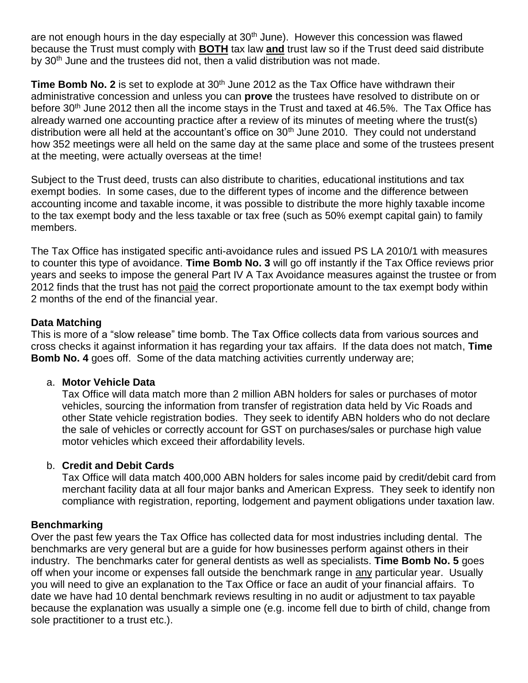are not enough hours in the day especially at 30<sup>th</sup> June). However this concession was flawed because the Trust must comply with **BOTH** tax law **and** trust law so if the Trust deed said distribute by 30<sup>th</sup> June and the trustees did not, then a valid distribution was not made.

Time Bomb No. 2 is set to explode at 30<sup>th</sup> June 2012 as the Tax Office have withdrawn their administrative concession and unless you can **prove** the trustees have resolved to distribute on or before 30<sup>th</sup> June 2012 then all the income stays in the Trust and taxed at 46.5%. The Tax Office has already warned one accounting practice after a review of its minutes of meeting where the trust(s) distribution were all held at the accountant's office on 30<sup>th</sup> June 2010. They could not understand how 352 meetings were all held on the same day at the same place and some of the trustees present at the meeting, were actually overseas at the time!

Subject to the Trust deed, trusts can also distribute to charities, educational institutions and tax exempt bodies. In some cases, due to the different types of income and the difference between accounting income and taxable income, it was possible to distribute the more highly taxable income to the tax exempt body and the less taxable or tax free (such as 50% exempt capital gain) to family members.

The Tax Office has instigated specific anti-avoidance rules and issued PS LA 2010/1 with measures to counter this type of avoidance. **Time Bomb No. 3** will go off instantly if the Tax Office reviews prior years and seeks to impose the general Part IV A Tax Avoidance measures against the trustee or from 2012 finds that the trust has not paid the correct proportionate amount to the tax exempt body within 2 months of the end of the financial year.

# **Data Matching**

This is more of a "slow release" time bomb. The Tax Office collects data from various sources and cross checks it against information it has regarding your tax affairs. If the data does not match, **Time Bomb No. 4** goes off. Some of the data matching activities currently underway are;

#### a. **Motor Vehicle Data**

Tax Office will data match more than 2 million ABN holders for sales or purchases of motor vehicles, sourcing the information from transfer of registration data held by Vic Roads and other State vehicle registration bodies. They seek to identify ABN holders who do not declare the sale of vehicles or correctly account for GST on purchases/sales or purchase high value motor vehicles which exceed their affordability levels.

# b. **Credit and Debit Cards**

Tax Office will data match 400,000 ABN holders for sales income paid by credit/debit card from merchant facility data at all four major banks and American Express. They seek to identify non compliance with registration, reporting, lodgement and payment obligations under taxation law.

#### **Benchmarking**

Over the past few years the Tax Office has collected data for most industries including dental. The benchmarks are very general but are a guide for how businesses perform against others in their industry. The benchmarks cater for general dentists as well as specialists. **Time Bomb No. 5** goes off when your income or expenses fall outside the benchmark range in any particular year. Usually you will need to give an explanation to the Tax Office or face an audit of your financial affairs. To date we have had 10 dental benchmark reviews resulting in no audit or adjustment to tax payable because the explanation was usually a simple one (e.g. income fell due to birth of child, change from sole practitioner to a trust etc.).